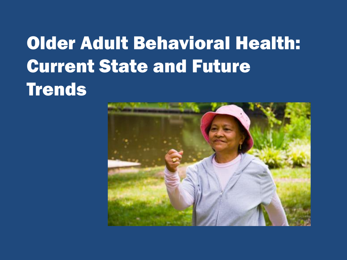# Older Adult Behavioral Health: Current State and Future **Trends**

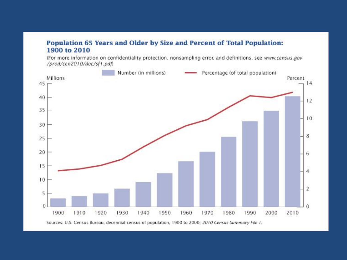#### Population 65 Years and Older by Size and Percent of Total Population: 1900 to 2010

(For more information on confidentiality protection, nonsampling error, and definitions, see www.census.gov /prod/cen2010/doc/sf1.pdf)

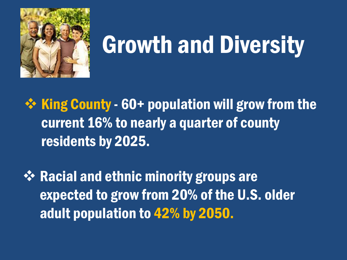

# Growth and Diversity

 $\div$  King County - 60+ population will grow from the current 16% to nearly a quarter of county residents by 2025.

 $\mathbf{\hat{P}}$  Racial and ethnic minority groups are expected to grow from 20% of the U.S. older adult population to 42% by 2050.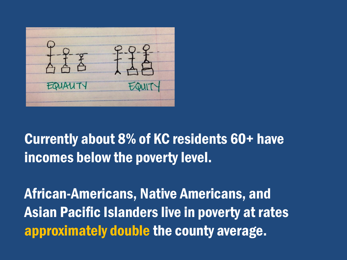

#### Currently about 8% of KC residents 60+ have incomes below the poverty level.

African-Americans, Native Americans, and Asian Pacific Islanders live in poverty at rates approximately double the county average.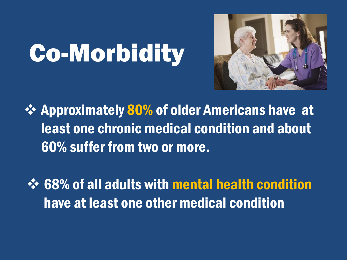# Co-Morbidity



**External Approximately 80% of older Americans have at** least one chronic medical condition and about 60% suffer from two or more.

 $\diamondsuit$  **68% of all adults with mental health condition** have at least one other medical condition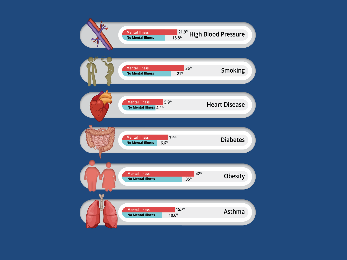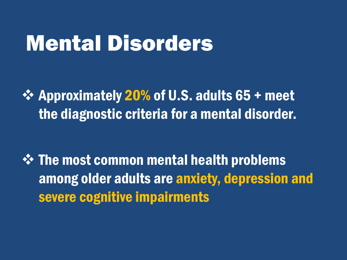# Mental Disorders

 $\div$  Approximately 20% of U.S. adults 65 + meet the diagnostic criteria for a mental disorder.

 $\div$  **The most common mental health problems** among older adults are anxiety, depression and severe cognitive impairments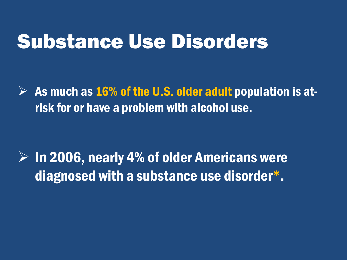## Substance Use Disorders

 $\triangleright$  As much as 16% of the U.S. older adult population is atrisk for or have a problem with alcohol use.

 $\triangleright$  In 2006, nearly 4% of older Americans were diagnosed with a substance use disorder\* .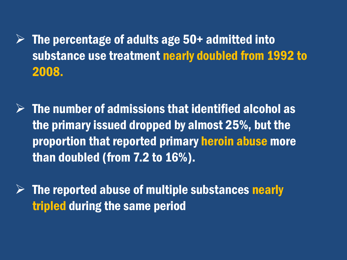$\triangleright$  The percentage of adults age 50+ admitted into substance use treatment nearly doubled from 1992 to 2008.

 $\triangleright$  The number of admissions that identified alcohol as the primary issued dropped by almost 25%, but the proportion that reported primary heroin abuse more than doubled (from 7.2 to 16%).

 $\triangleright$  The reported abuse of multiple substances nearly tripled during the same period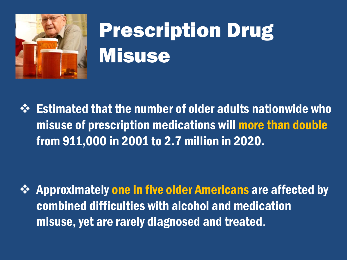

# Prescription Drug **Misuse**

 $\Diamond$  Estimated that the number of older adults nationwide who misuse of prescription medications will more than double from 911,000 in 2001 to 2.7 million in 2020.

 $\div$  **Approximately one in five older Americans are affected by** combined difficulties with alcohol and medication misuse, yet are rarely diagnosed and treated.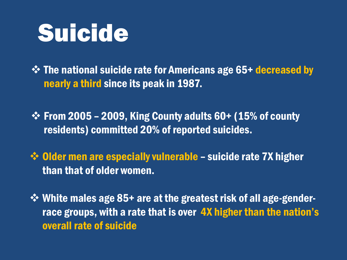# Suicide

 $\div$  **The national suicide rate for Americans age 65+ decreased by** nearly a third since its peak in 1987.

 $\div$  From 2005 – 2009, King County adults 60+ (15% of county residents) committed 20% of reported suicides.

 $\div$  Older men are especially vulnerable – suicide rate 7X higher than that of older women.

 White males age 85+ are at the greatest risk of all age-genderrace groups, with a rate that is over 4X higher than the nation's overall rate of suicide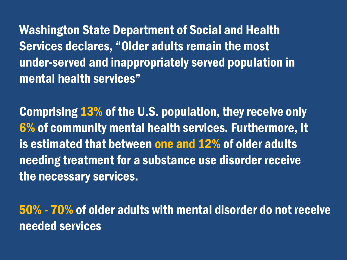Washington State Department of Social and Health Services declares, "Older adults remain the most under-served and inappropriately served population in mental health services"

Comprising 13% of the U.S. population, they receive only 6% of community mental health services. Furthermore, it is estimated that between one and 12% of older adults needing treatment for a substance use disorder receive the necessary services.

50% - 70% of older adults with mental disorder do not receive needed services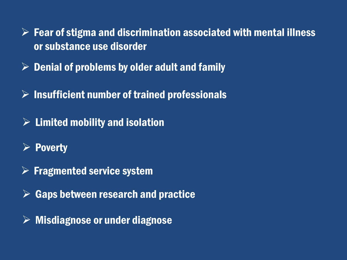$\triangleright$  Fear of stigma and discrimination associated with mental illness or substance use disorder

- $\triangleright$  Denial of problems by older adult and family
- $\triangleright$  Insufficient number of trained professionals
- $\triangleright$  Limited mobility and isolation
- $\triangleright$  Poverty
- $\triangleright$  Fragmented service system
- $\triangleright$  Gaps between research and practice
- $\triangleright$  Misdiagnose or under diagnose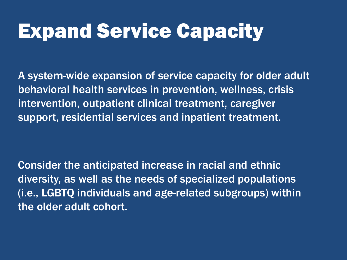# Expand Service Capacity

A system-wide expansion of service capacity for older adult behavioral health services in prevention, wellness, crisis intervention, outpatient clinical treatment, caregiver support, residential services and inpatient treatment.

Consider the anticipated increase in racial and ethnic diversity, as well as the needs of specialized populations (i.e., LGBTQ individuals and age-related subgroups) within the older adult cohort.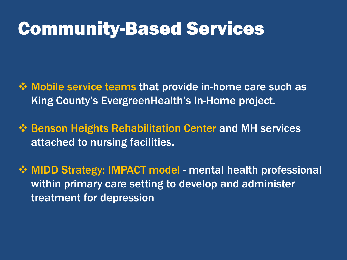### Community-Based Services

- **Example Service teams that provide in-home care such as** King County's EvergreenHealth's In-Home project.
- **❖ Benson Heights Rehabilitation Center and MH services** attached to nursing facilities.
- **WIDD Strategy: IMPACT model mental health professional** within primary care setting to develop and administer treatment for depression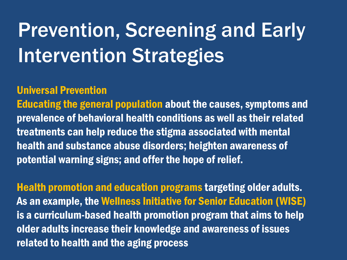# Prevention, Screening and Early Intervention Strategies

#### Universal Prevention

Educating the general population about the causes, symptoms and prevalence of behavioral health conditions as well as their related treatments can help reduce the stigma associated with mental health and substance abuse disorders; heighten awareness of potential warning signs; and offer the hope of relief.

Health promotion and education programs targeting older adults. As an example, the Wellness Initiative for Senior Education (WISE) is a curriculum-based health promotion program that aims to help older adults increase their knowledge and awareness of issues related to health and the aging process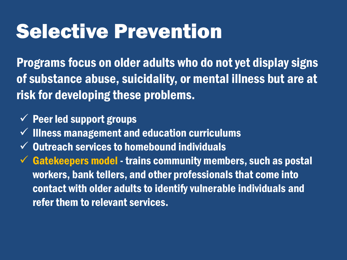## Selective Prevention

Programs focus on older adults who do not yet display signs of substance abuse, suicidality, or mental illness but are at risk for developing these problems.

- $\checkmark$  Peer led support groups
- $\checkmark$  Illness management and education curriculums
- $\checkmark$  Outreach services to homebound individuals
- $\checkmark$  Gatekeepers model trains community members, such as postal workers, bank tellers, and other professionals that come into contact with older adults to identify vulnerable individuals and refer them to relevant services.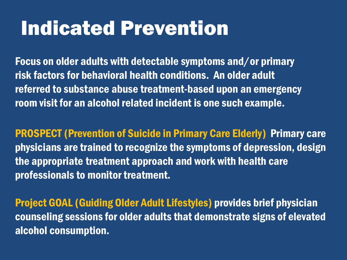# Indicated Prevention

Focus on older adults with detectable symptoms and/or primary risk factors for behavioral health conditions. An older adult referred to substance abuse treatment-based upon an emergency room visit for an alcohol related incident is one such example.

PROSPECT (Prevention of Suicide in Primary Care Elderly) Primary care physicians are trained to recognize the symptoms of depression, design the appropriate treatment approach and work with health care professionals to monitor treatment.

Project GOAL (Guiding Older Adult Lifestyles) provides brief physician counseling sessions for older adults that demonstrate signs of elevated alcohol consumption.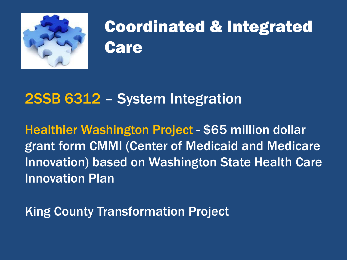

## Coordinated & Integrated **Care**

#### 2SSB 6312 – System Integration

Healthier Washington Project - \$65 million dollar grant form CMMI (Center of Medicaid and Medicare Innovation) based on Washington State Health Care Innovation Plan

King County Transformation Project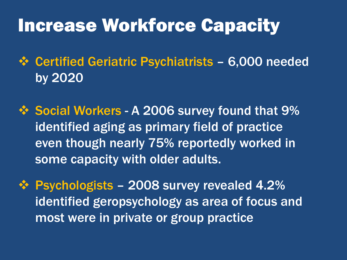### Increase Workforce Capacity

 Certified Geriatric Psychiatrists – 6,000 needed by 2020

❖ Social Workers - A 2006 survey found that 9% identified aging as primary field of practice even though nearly 75% reportedly worked in some capacity with older adults.

 $\div$  **Psychologists – 2008 survey revealed 4.2%** identified geropsychology as area of focus and most were in private or group practice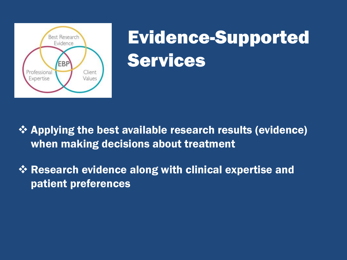

# Evidence-Supported Services

- **☆ Applying the best available research results (evidence)** when making decisions about treatment
- Research evidence along with clinical expertise and patient preferences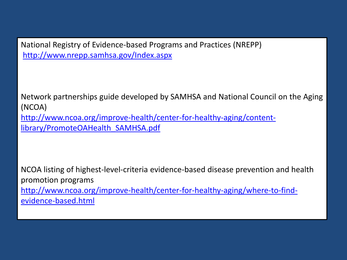National Registry of Evidence-based Programs and Practices (NREPP) <http://www.nrepp.samhsa.gov/Index.aspx>

Network partnerships guide developed by SAMHSA and National Council on the Aging (NCOA) [http://www.ncoa.org/improve-health/center-for-healthy-aging/content](http://www.ncoa.org/improve-health/center-for-healthy-aging/content-library/PromoteOAHealth_SAMHSA.pdf)library/PromoteOAHealth\_SAMHSA.pdf

NCOA listing of highest-level-criteria evidence-based disease prevention and health promotion programs [http://www.ncoa.org/improve-health/center-for-healthy-aging/where-to-find](http://www.ncoa.org/improve-health/center-for-healthy-aging/where-to-find-evidence-based.html)evidence-based.html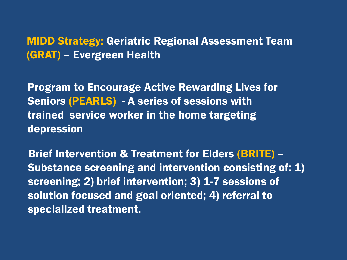MIDD Strategy: Geriatric Regional Assessment Team (GRAT) – Evergreen Health

Program to Encourage Active Rewarding Lives for Seniors (PEARLS) - A series of sessions with trained service worker in the home targeting depression

Brief Intervention & Treatment for Elders (BRITE) – Substance screening and intervention consisting of: 1) screening; 2) brief intervention; 3) 1-7 sessions of solution focused and goal oriented; 4) referral to specialized treatment.